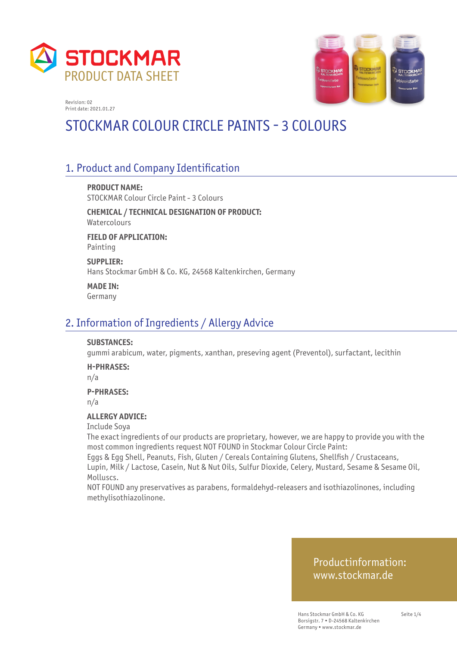



# STOCKMAR COLOUR CIRCLE PAINTS - 3 COLOURS

## 1. Product and Company Identification

**PRODUCT NAME:** STOCKMAR Colour Circle Paint - 3 Colours

**CHEMICAL / TECHNICAL DESIGNATION OF PRODUCT:** Watercolours **FIELD OF APPLICATION:**

Painting

**SUPPLIER:** Hans Stockmar GmbH & Co. KG, 24568 Kaltenkirchen, Germany

**MADE IN:** Germany

### 2. Information of Ingredients / Allergy Advice

#### **SUBSTANCES:**

gummi arabicum, water, pigments, xanthan, preseving agent (Preventol), surfactant, lecithin

#### **H-PHRASES:**

n/a

#### **P-PHRASES:**

n/a

#### **ALLERGY ADVICE:**

Include Soya

The exact ingredients of our products are proprietary, however, we are happy to provide you with the most common ingredients request NOT FOUND in Stockmar Colour Circle Paint:

Eggs & Egg Shell, Peanuts, Fish, Gluten / Cereals Containing Glutens, Shellfish / Crustaceans, Lupin, Milk / Lactose, Casein, Nut & Nut Oils, Sulfur Dioxide, Celery, Mustard, Sesame & Sesame Oil, Molluscs.

NOT FOUND any preservatives as parabens, formaldehyd-releasers and isothiazolinones, including methylisothiazolinone.

#### Productinformation: www.stockmar.de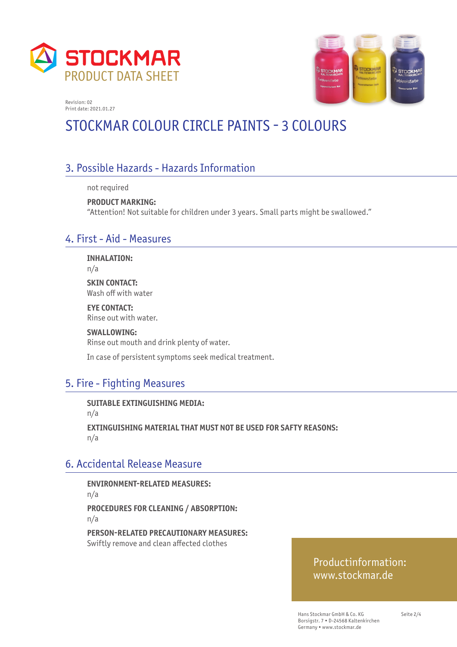



# STOCKMAR COLOUR CIRCLE PAINTS - 3 COLOURS

# 3. Possible Hazards - Hazards Information

not required

**PRODUCT MARKING:**  "Attention! Not suitable for children under 3 years. Small parts might be swallowed."

### 4. First - Aid - Measures

**INHALATION:** n/a

**SKIN CONTACT:** Wash off with water

**EYE CONTACT:** Rinse out with water.

**SWALLOWING:** Rinse out mouth and drink plenty of water.

In case of persistent symptoms seek medical treatment.

# 5. Fire - Fighting Measures

**SUITABLE EXTINGUISHING MEDIA:**  n/a **EXTINGUISHING MATERIAL THAT MUST NOT BE USED FOR SAFTY REASONS:**  n/a

## 6. Accidental Release Measure

**ENVIRONMENT-RELATED MEASURES:**  n/a **PROCEDURES FOR CLEANING / ABSORPTION:**  n/a

**PERSON-RELATED PRECAUTIONARY MEASURES:**  Swiftly remove and clean affected clothes

#### Productinformation: www.stockmar.de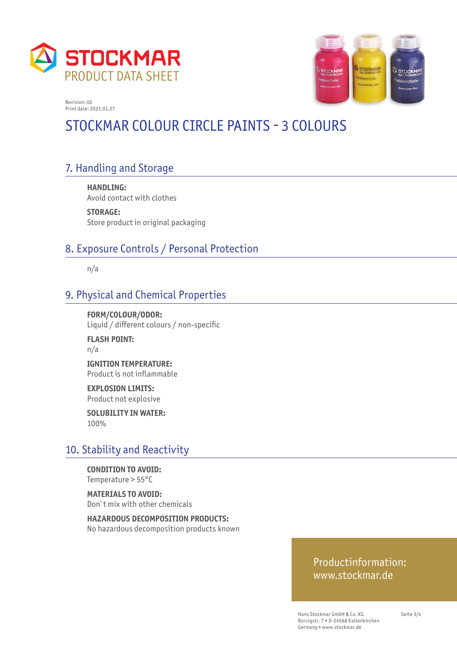



# STOCKMAR COLOUR CIRCLE PAINTS - 3 COLOURS

# 7. Handling and Storage

**HANDLING:**  Avoid contact with clothes

**STORAGE:**  Store product in original packaging

# 8. Exposure Controls / Personal Protection

n/a

### 9. Physical and Chemical Properties

**FORM/COLOUR/ODOR:**  Liquid / different colours / non-specific

**FLASH POINT:**  n/a

**IGNITION TEMPERATURE:**  Product is not infl ammable

**EXPLOSION LIMITS:**  Product not explosive

**SOLUBILITY IN WATER:**  100%

## 10. Stability and Reactivity

**CONDITION TO AVOID:**  Temperature > 55°C

**MATERIALS TO AVOID:**  Don`t mix with other chemicals

**HAZARDOUS DECOMPOSITION PRODUCTS:**  No hazardous decomposition products known

#### Productinformation: www.stockmar.de

Hans Stockmar GmbH & Co. KG Borsigstr. 7 • D-24568 Kaltenkirchen Germany • www.stockmar.de

Seite 3/4